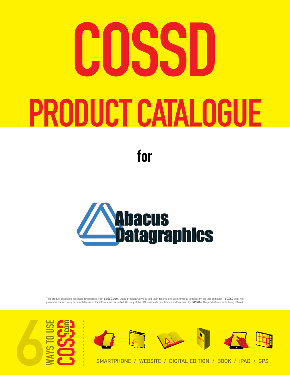# IISSI PRODUCT CATALOGUE

for



This product catalogue has been downloaded from *COSSD.com*. Listed products/services and their descriptions are shown as supplied by the title company—*COSSD* does not guarantee the accuracy or completeness of the information presented. Hosting of the PDF does not constitute an endorsement by *COSSD* of the products/services being offered.





smartphone / website / digital edition / BOOK / iPad / GPS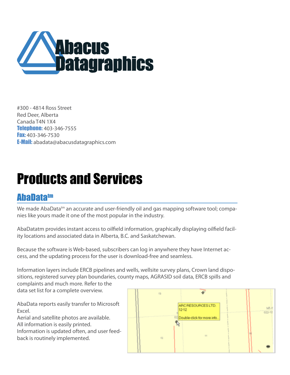

#300 - 4814 Ross Street Red Deer, Alberta Canada T4N 1X4 Telephone: 403-346-7555 **Fax:** 403-346-7530 E-Mail: abadata@abacusdatagraphics.com

## Products and Services

#### **AbaDatatm**

We made AbaData<sup>tm</sup> an accurate and user-friendly oil and gas mapping software tool; companies like yours made it one of the most popular in the industry.

AbaDatatm provides instant access to oilfield information, graphically displaying oilfield facility locations and associated data in Alberta, B.C. and Saskatchewan.

Because the software is Web-based, subscribers can log in anywhere they have Internet access, and the updating process for the user is download-free and seamless.

Information layers include ERCB pipelines and wells, wellsite survey plans, Crown land dispositions, registered survey plan boundaries, county maps, AGRASID soil data, ERCB spills and complaints and much more. Refer to the data set list for a complete overview.

AbaData reports easily transfer to Microsoft Excel.

Aerial and satellite photos are available. All information is easily printed. Information is updated often, and user feedback is routinely implemented.

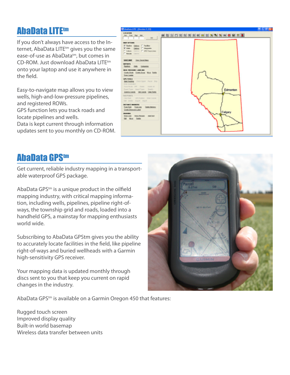#### **AbaData LITEtm**

If you don't always have access to the Internet, AbaData LITE<sup>tm</sup> gives you the same ease-of-use as AbaData<sup>tm</sup>, but comes in CD-ROM. Just download AbaData LITEtm onto your laptop and use it anywhere in the field.

Easy-to-navigate map allows you to view wells, high-and-low-pressure pipelines, and registered ROWs. GPS function lets you track roads and

locate pipelines and wells. Data is kept current through information updates sent to you monthly on CD-ROM.



#### **AbaData GPStm**

Get current, reliable industry mapping in a transportable waterproof GPS package.

AbaData GPS<sup>tm</sup> is a unique product in the oilfield mapping industry, with critical mapping information, including wells, pipelines, pipeline right-ofways, the township grid and roads, loaded into a handheld GPS, a mainstay for mapping enthusiasts world wide.

Subscribing to AbaData GPStm gives you the ability to accurately locate facilities in the field, like pipeline right-of-ways and buried wellheads with a Garmin high-sensitivity GPS receiver.

Your mapping data is updated monthly through discs sent to you that keep you current on rapid changes in the industry.



AbaData GPS<sup>tm</sup> is available on a Garmin Oregon 450 that features:

Rugged touch screen Improved display quality Built-in world basemap Wireless data transfer between units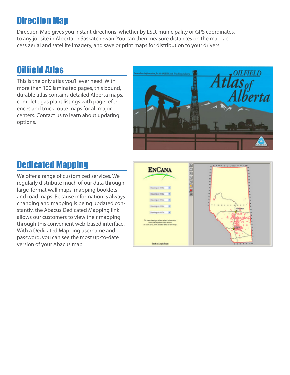#### Direction Map

Direction Map gives you instant directions, whether by LSD, municipality or GPS coordinates, to any jobsite in Alberta or Saskatchewan. You can then measure distances on the map, access aerial and satellite imagery, and save or print maps for distribution to your drivers.

#### Oilfield Atlas

This is the only atlas you'll ever need. With more than 100 laminated pages, this bound, durable atlas contains detailed Alberta maps, complete gas plant listings with page references and truck route maps for all major centers. Contact us to learn about updating options.



#### Dedicated Mapping

We offer a range of customized services. We regularly distribute much of our data through large-format wall maps, mapping booklets and road maps. Because information is always changing and mapping is being updated constantly, the Abacus Dedicated Mapping link allows our customers to view their mapping through this convenient web-based interface. With a Dedicated Mapping username and password, you can see the most up-to-date version of your Abacus map.